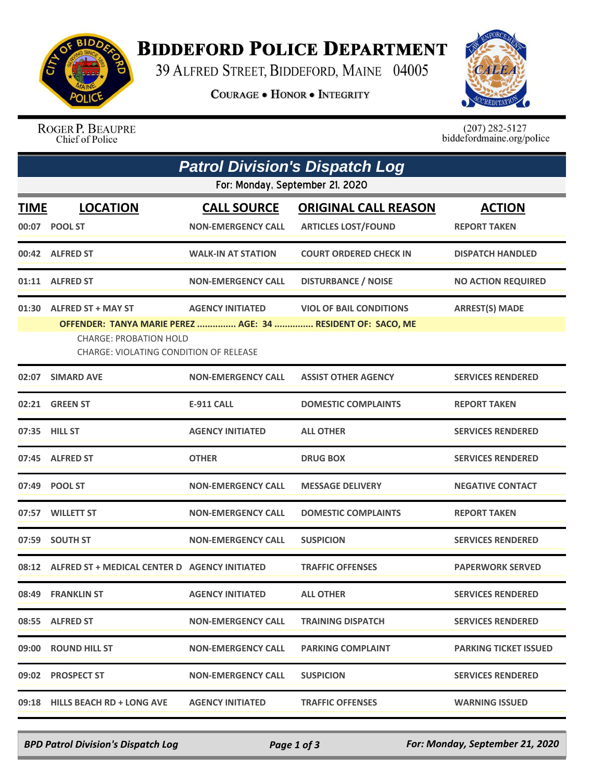

## **BIDDEFORD POLICE DEPARTMENT**

39 ALFRED STREET, BIDDEFORD, MAINE 04005

**COURAGE . HONOR . INTEGRITY** 



ROGER P. BEAUPRE<br>Chief of Police

 $(207)$  282-5127<br>biddefordmaine.org/police

|                                 | <b>Patrol Division's Dispatch Log</b>                                                                                                                               |                                                 |                                                           |                                      |  |  |  |  |
|---------------------------------|---------------------------------------------------------------------------------------------------------------------------------------------------------------------|-------------------------------------------------|-----------------------------------------------------------|--------------------------------------|--|--|--|--|
| For: Monday, September 21, 2020 |                                                                                                                                                                     |                                                 |                                                           |                                      |  |  |  |  |
| <u>TIME</u>                     | <b>LOCATION</b><br>00:07 POOL ST                                                                                                                                    | <b>CALL SOURCE</b><br><b>NON-EMERGENCY CALL</b> | <b>ORIGINAL CALL REASON</b><br><b>ARTICLES LOST/FOUND</b> | <b>ACTION</b><br><b>REPORT TAKEN</b> |  |  |  |  |
|                                 | 00:42 ALFRED ST                                                                                                                                                     | <b>WALK-IN AT STATION</b>                       | <b>COURT ORDERED CHECK IN</b>                             | <b>DISPATCH HANDLED</b>              |  |  |  |  |
|                                 | 01:11 ALFRED ST                                                                                                                                                     | <b>NON-EMERGENCY CALL</b>                       | <b>DISTURBANCE / NOISE</b>                                | <b>NO ACTION REQUIRED</b>            |  |  |  |  |
| 01:30                           | <b>ALFRED ST + MAY ST</b><br>OFFENDER: TANYA MARIE PEREZ  AGE: 34  RESIDENT OF: SACO, ME<br><b>CHARGE: PROBATION HOLD</b><br>CHARGE: VIOLATING CONDITION OF RELEASE | <b>AGENCY INITIATED</b>                         | <b>VIOL OF BAIL CONDITIONS</b>                            | <b>ARREST(S) MADE</b>                |  |  |  |  |
| 02:07                           | <b>SIMARD AVE</b>                                                                                                                                                   | <b>NON-EMERGENCY CALL</b>                       | <b>ASSIST OTHER AGENCY</b>                                | <b>SERVICES RENDERED</b>             |  |  |  |  |
|                                 | 02:21 GREEN ST                                                                                                                                                      | <b>E-911 CALL</b>                               | <b>DOMESTIC COMPLAINTS</b>                                | <b>REPORT TAKEN</b>                  |  |  |  |  |
|                                 | 07:35 HILL ST                                                                                                                                                       | <b>AGENCY INITIATED</b>                         | <b>ALL OTHER</b>                                          | <b>SERVICES RENDERED</b>             |  |  |  |  |
|                                 | 07:45 ALFRED ST                                                                                                                                                     | <b>OTHER</b>                                    | <b>DRUG BOX</b>                                           | <b>SERVICES RENDERED</b>             |  |  |  |  |
|                                 | 07:49 POOL ST                                                                                                                                                       | <b>NON-EMERGENCY CALL</b>                       | <b>MESSAGE DELIVERY</b>                                   | <b>NEGATIVE CONTACT</b>              |  |  |  |  |
|                                 | 07:57 WILLETT ST                                                                                                                                                    | <b>NON-EMERGENCY CALL</b>                       | <b>DOMESTIC COMPLAINTS</b>                                | <b>REPORT TAKEN</b>                  |  |  |  |  |
|                                 | 07:59 SOUTH ST                                                                                                                                                      | <b>NON-EMERGENCY CALL</b>                       | <b>SUSPICION</b>                                          | <b>SERVICES RENDERED</b>             |  |  |  |  |
|                                 | 08:12 ALFRED ST + MEDICAL CENTER D AGENCY INITIATED                                                                                                                 |                                                 | <b>TRAFFIC OFFENSES</b>                                   | <b>PAPERWORK SERVED</b>              |  |  |  |  |
|                                 | 08:49 FRANKLIN ST                                                                                                                                                   | <b>AGENCY INITIATED</b>                         | <b>ALL OTHER</b>                                          | <b>SERVICES RENDERED</b>             |  |  |  |  |
|                                 | 08:55 ALFRED ST                                                                                                                                                     | <b>NON-EMERGENCY CALL</b>                       | <b>TRAINING DISPATCH</b>                                  | <b>SERVICES RENDERED</b>             |  |  |  |  |
|                                 | 09:00 ROUND HILL ST                                                                                                                                                 | <b>NON-EMERGENCY CALL</b>                       | <b>PARKING COMPLAINT</b>                                  | <b>PARKING TICKET ISSUED</b>         |  |  |  |  |
|                                 | 09:02 PROSPECT ST                                                                                                                                                   | <b>NON-EMERGENCY CALL</b>                       | <b>SUSPICION</b>                                          | <b>SERVICES RENDERED</b>             |  |  |  |  |
|                                 | 09:18 HILLS BEACH RD + LONG AVE                                                                                                                                     | <b>AGENCY INITIATED</b>                         | <b>TRAFFIC OFFENSES</b>                                   | <b>WARNING ISSUED</b>                |  |  |  |  |

*BPD Patrol Division's Dispatch Log Page 1 of 3 For: Monday, September 21, 2020*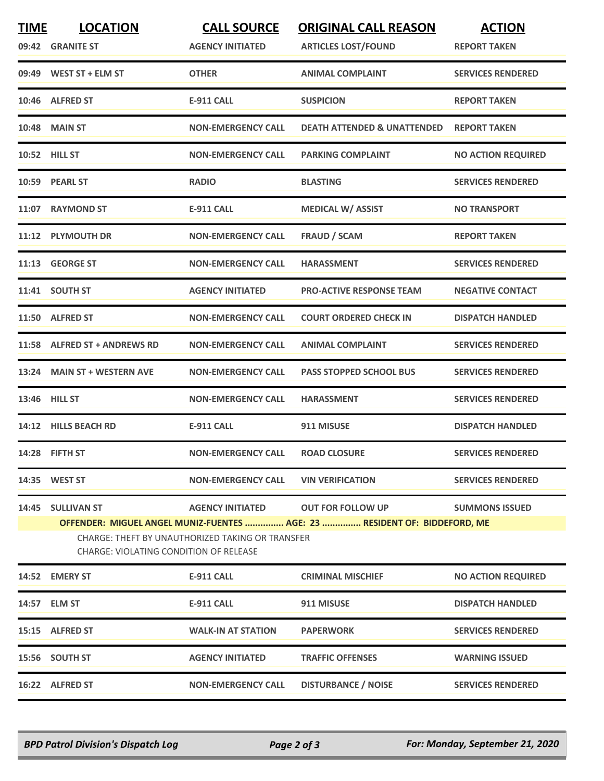| <b>TIME</b>                                   | <b>LOCATION</b><br>09:42 GRANITE ST                                                                                                                                                                                                       | <b>CALL SOURCE</b><br><b>AGENCY INITIATED</b> | <b>ORIGINAL CALL REASON</b><br><b>ARTICLES LOST/FOUND</b> | <b>ACTION</b><br><b>REPORT TAKEN</b> |  |  |
|-----------------------------------------------|-------------------------------------------------------------------------------------------------------------------------------------------------------------------------------------------------------------------------------------------|-----------------------------------------------|-----------------------------------------------------------|--------------------------------------|--|--|
|                                               | 09:49 WEST ST + ELM ST                                                                                                                                                                                                                    | <b>OTHER</b>                                  | <b>ANIMAL COMPLAINT</b>                                   | <b>SERVICES RENDERED</b>             |  |  |
| 10:46                                         | <b>ALFRED ST</b>                                                                                                                                                                                                                          | <b>E-911 CALL</b>                             | <b>SUSPICION</b>                                          | <b>REPORT TAKEN</b>                  |  |  |
|                                               | <b>10:48 MAIN ST</b>                                                                                                                                                                                                                      | <b>NON-EMERGENCY CALL</b>                     | <b>DEATH ATTENDED &amp; UNATTENDED</b>                    | <b>REPORT TAKEN</b>                  |  |  |
|                                               | <b>10:52 HILL ST</b>                                                                                                                                                                                                                      | <b>NON-EMERGENCY CALL</b>                     | <b>PARKING COMPLAINT</b>                                  | <b>NO ACTION REQUIRED</b>            |  |  |
|                                               | 10:59 PEARL ST                                                                                                                                                                                                                            | <b>RADIO</b>                                  | <b>BLASTING</b>                                           | <b>SERVICES RENDERED</b>             |  |  |
|                                               | 11:07 RAYMOND ST                                                                                                                                                                                                                          | <b>E-911 CALL</b>                             | <b>MEDICAL W/ ASSIST</b>                                  | <b>NO TRANSPORT</b>                  |  |  |
|                                               | 11:12 PLYMOUTH DR                                                                                                                                                                                                                         | <b>NON-EMERGENCY CALL</b>                     | <b>FRAUD / SCAM</b>                                       | <b>REPORT TAKEN</b>                  |  |  |
|                                               | 11:13 GEORGE ST                                                                                                                                                                                                                           | <b>NON-EMERGENCY CALL</b>                     | <b>HARASSMENT</b>                                         | <b>SERVICES RENDERED</b>             |  |  |
|                                               | 11:41 SOUTH ST                                                                                                                                                                                                                            | <b>AGENCY INITIATED</b>                       | <b>PRO-ACTIVE RESPONSE TEAM</b>                           | <b>NEGATIVE CONTACT</b>              |  |  |
|                                               | 11:50 ALFRED ST                                                                                                                                                                                                                           | <b>NON-EMERGENCY CALL</b>                     | <b>COURT ORDERED CHECK IN</b>                             | <b>DISPATCH HANDLED</b>              |  |  |
|                                               | 11:58 ALFRED ST + ANDREWS RD                                                                                                                                                                                                              | <b>NON-EMERGENCY CALL</b>                     | <b>ANIMAL COMPLAINT</b>                                   | <b>SERVICES RENDERED</b>             |  |  |
|                                               | 13:24 MAIN ST + WESTERN AVE                                                                                                                                                                                                               | <b>NON-EMERGENCY CALL</b>                     | <b>PASS STOPPED SCHOOL BUS</b>                            | <b>SERVICES RENDERED</b>             |  |  |
|                                               | 13:46 HILL ST                                                                                                                                                                                                                             | <b>NON-EMERGENCY CALL</b>                     | <b>HARASSMENT</b>                                         | <b>SERVICES RENDERED</b>             |  |  |
|                                               | 14:12 HILLS BEACH RD                                                                                                                                                                                                                      | <b>E-911 CALL</b>                             | 911 MISUSE                                                | <b>DISPATCH HANDLED</b>              |  |  |
|                                               | 14:28 FIFTH ST                                                                                                                                                                                                                            | <b>NON-EMERGENCY CALL</b>                     | <b>ROAD CLOSURE</b>                                       | <b>SERVICES RENDERED</b>             |  |  |
|                                               | 14:35 WEST ST                                                                                                                                                                                                                             | <b>NON-EMERGENCY CALL</b>                     | <b>VIN VERIFICATION</b>                                   | <b>SERVICES RENDERED</b>             |  |  |
|                                               | 14:45 SULLIVAN ST<br><b>AGENCY INITIATED</b><br><b>OUT FOR FOLLOW UP</b><br><b>SUMMONS ISSUED</b><br>OFFENDER: MIGUEL ANGEL MUNIZ-FUENTES  AGE: 23  RESIDENT OF: BIDDEFORD, ME<br><b>CHARGE: THEFT BY UNAUTHORIZED TAKING OR TRANSFER</b> |                                               |                                                           |                                      |  |  |
| <b>CHARGE: VIOLATING CONDITION OF RELEASE</b> |                                                                                                                                                                                                                                           |                                               |                                                           |                                      |  |  |
|                                               | 14:52 EMERY ST                                                                                                                                                                                                                            | E-911 CALL                                    | <b>CRIMINAL MISCHIEF</b>                                  | <b>NO ACTION REQUIRED</b>            |  |  |
|                                               | 14:57 ELM ST                                                                                                                                                                                                                              | <b>E-911 CALL</b>                             | 911 MISUSE                                                | <b>DISPATCH HANDLED</b>              |  |  |
|                                               | 15:15 ALFRED ST                                                                                                                                                                                                                           | <b>WALK-IN AT STATION</b>                     | <b>PAPERWORK</b>                                          | <b>SERVICES RENDERED</b>             |  |  |
|                                               | 15:56 SOUTH ST                                                                                                                                                                                                                            | <b>AGENCY INITIATED</b>                       | <b>TRAFFIC OFFENSES</b>                                   | <b>WARNING ISSUED</b>                |  |  |
|                                               | 16:22 ALFRED ST                                                                                                                                                                                                                           | <b>NON-EMERGENCY CALL</b>                     | <b>DISTURBANCE / NOISE</b>                                | <b>SERVICES RENDERED</b>             |  |  |

*BPD Patrol Division's Dispatch Log Page 2 of 3 For: Monday, September 21, 2020*